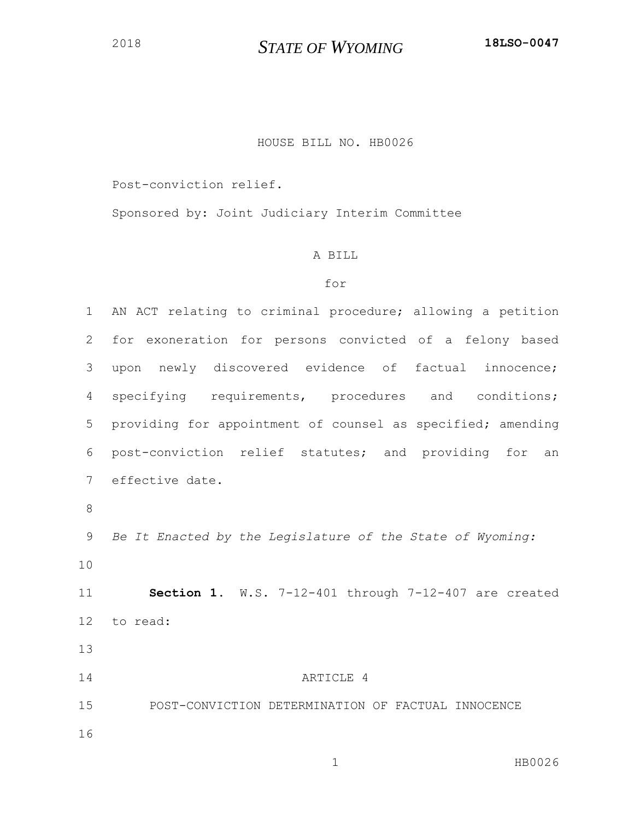## HOUSE BILL NO. HB0026

Post-conviction relief.

Sponsored by: Joint Judiciary Interim Committee

## A BILL

## for

 AN ACT relating to criminal procedure; allowing a petition for exoneration for persons convicted of a felony based upon newly discovered evidence of factual innocence; specifying requirements, procedures and conditions; providing for appointment of counsel as specified; amending post-conviction relief statutes; and providing for an effective date. *Be It Enacted by the Legislature of the State of Wyoming:* **Section 1.** W.S. 7-12-401 through 7-12-407 are created to read: 14 ARTICLE 4 POST-CONVICTION DETERMINATION OF FACTUAL INNOCENCE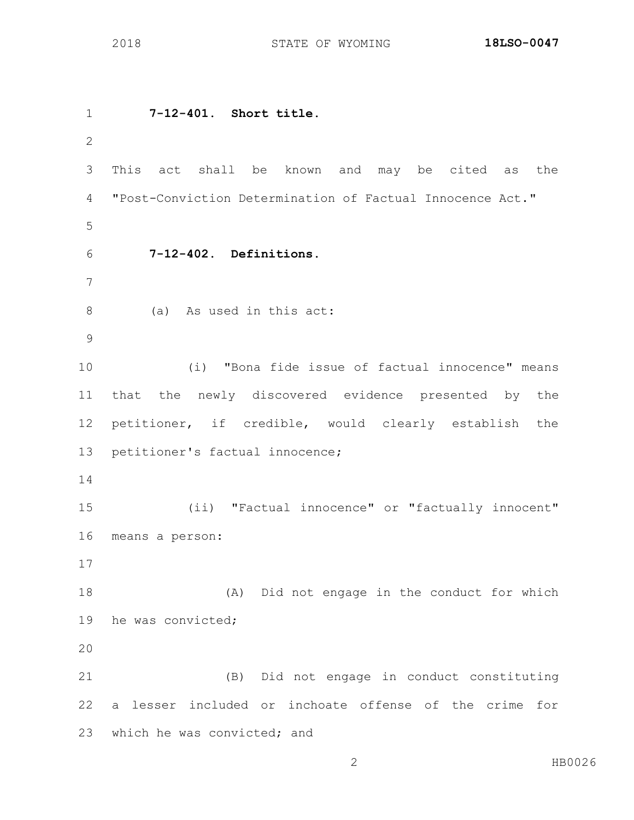**7-12-401. Short title.** This act shall be known and may be cited as the "Post-Conviction Determination of Factual Innocence Act." **7-12-402. Definitions.** (a) As used in this act: (i) "Bona fide issue of factual innocence" means that the newly discovered evidence presented by the petitioner, if credible, would clearly establish the petitioner's factual innocence; (ii) "Factual innocence" or "factually innocent" means a person: (A) Did not engage in the conduct for which he was convicted; (B) Did not engage in conduct constituting a lesser included or inchoate offense of the crime for which he was convicted; and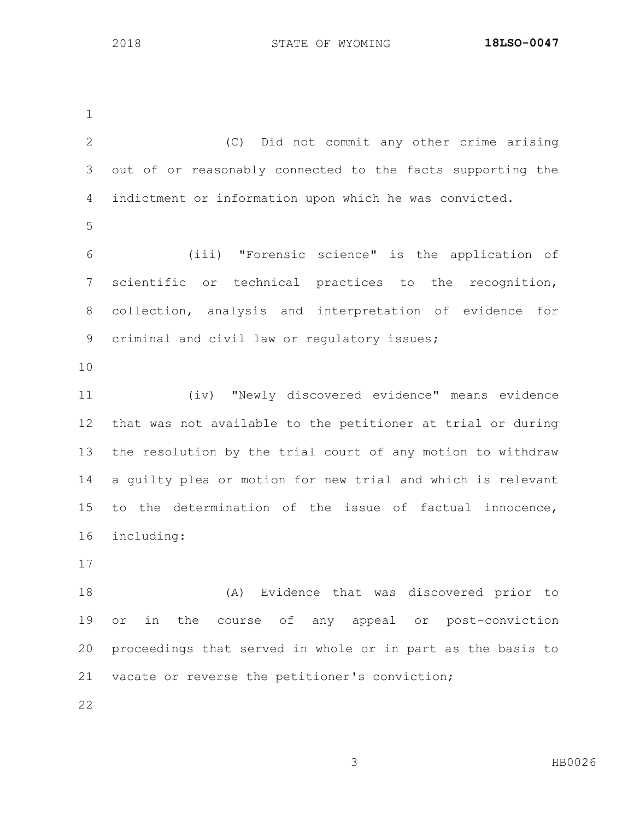(C) Did not commit any other crime arising out of or reasonably connected to the facts supporting the indictment or information upon which he was convicted. (iii) "Forensic science" is the application of scientific or technical practices to the recognition, collection, analysis and interpretation of evidence for 9 criminal and civil law or regulatory issues; (iv) "Newly discovered evidence" means evidence that was not available to the petitioner at trial or during the resolution by the trial court of any motion to withdraw a guilty plea or motion for new trial and which is relevant to the determination of the issue of factual innocence, including: (A) Evidence that was discovered prior to or in the course of any appeal or post-conviction proceedings that served in whole or in part as the basis to vacate or reverse the petitioner's conviction;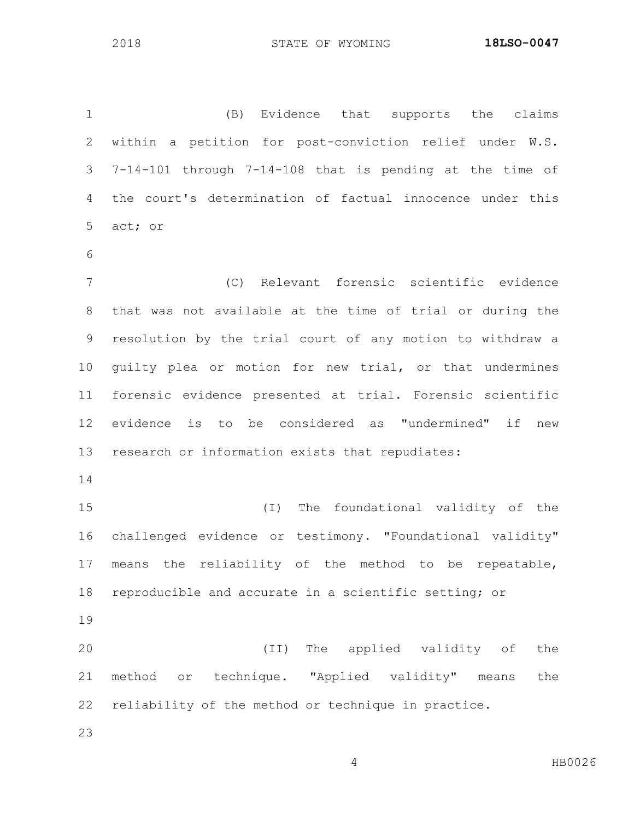(B) Evidence that supports the claims within a petition for post-conviction relief under W.S. 7-14-101 through 7-14-108 that is pending at the time of the court's determination of factual innocence under this act; or (C) Relevant forensic scientific evidence that was not available at the time of trial or during the resolution by the trial court of any motion to withdraw a guilty plea or motion for new trial, or that undermines forensic evidence presented at trial. Forensic scientific evidence is to be considered as "undermined" if new research or information exists that repudiates: (I) The foundational validity of the challenged evidence or testimony. "Foundational validity" means the reliability of the method to be repeatable, reproducible and accurate in a scientific setting; or (II) The applied validity of the method or technique. "Applied validity" means the reliability of the method or technique in practice.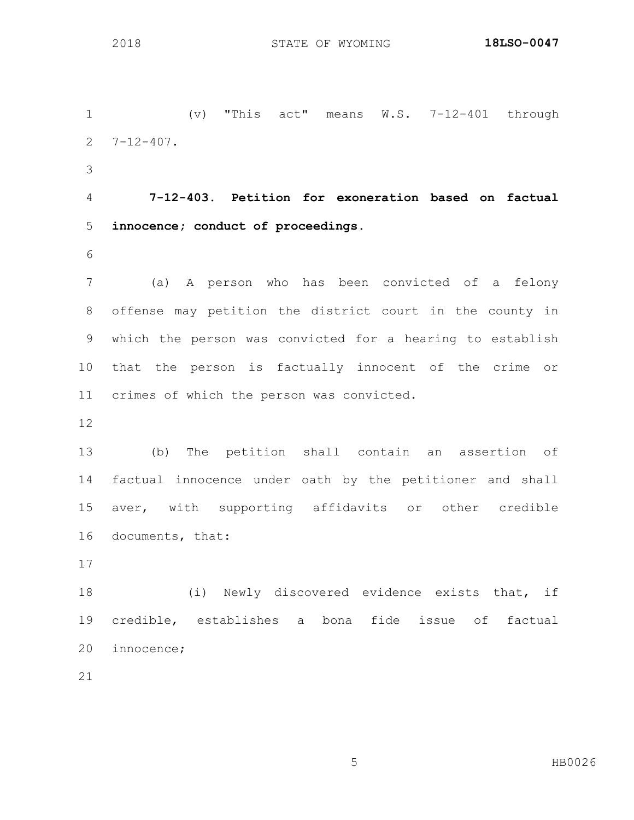(v) "This act" means W.S. 7-12-401 through 7-12-407.

 **7-12-403. Petition for exoneration based on factual innocence; conduct of proceedings.**

 (a) A person who has been convicted of a felony offense may petition the district court in the county in which the person was convicted for a hearing to establish that the person is factually innocent of the crime or crimes of which the person was convicted.

 (b) The petition shall contain an assertion of factual innocence under oath by the petitioner and shall aver, with supporting affidavits or other credible documents, that:

 (i) Newly discovered evidence exists that, if credible, establishes a bona fide issue of factual innocence;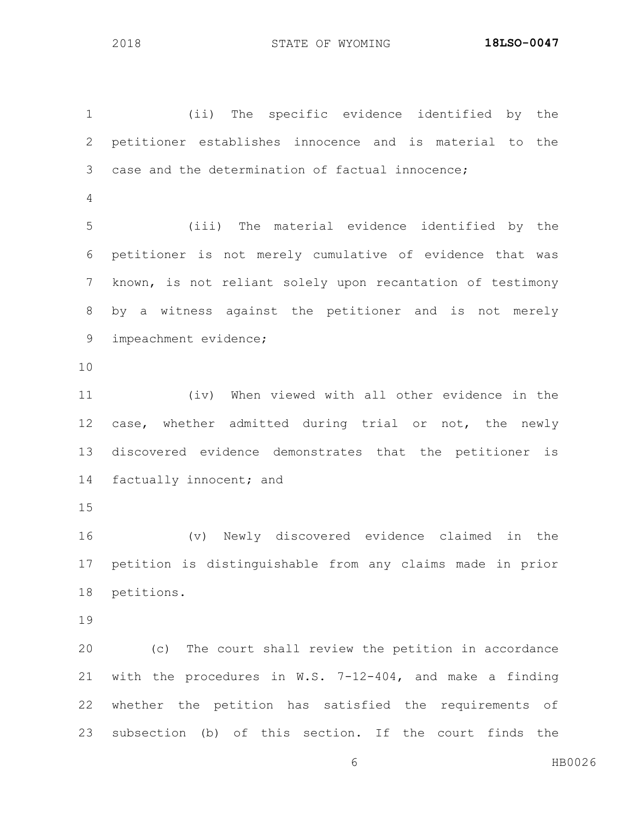(ii) The specific evidence identified by the petitioner establishes innocence and is material to the case and the determination of factual innocence; (iii) The material evidence identified by the petitioner is not merely cumulative of evidence that was known, is not reliant solely upon recantation of testimony by a witness against the petitioner and is not merely impeachment evidence; (iv) When viewed with all other evidence in the case, whether admitted during trial or not, the newly discovered evidence demonstrates that the petitioner is 14 factually innocent; and (v) Newly discovered evidence claimed in the petition is distinguishable from any claims made in prior petitions. (c) The court shall review the petition in accordance with the procedures in W.S. 7-12-404, and make a finding whether the petition has satisfied the requirements of subsection (b) of this section. If the court finds the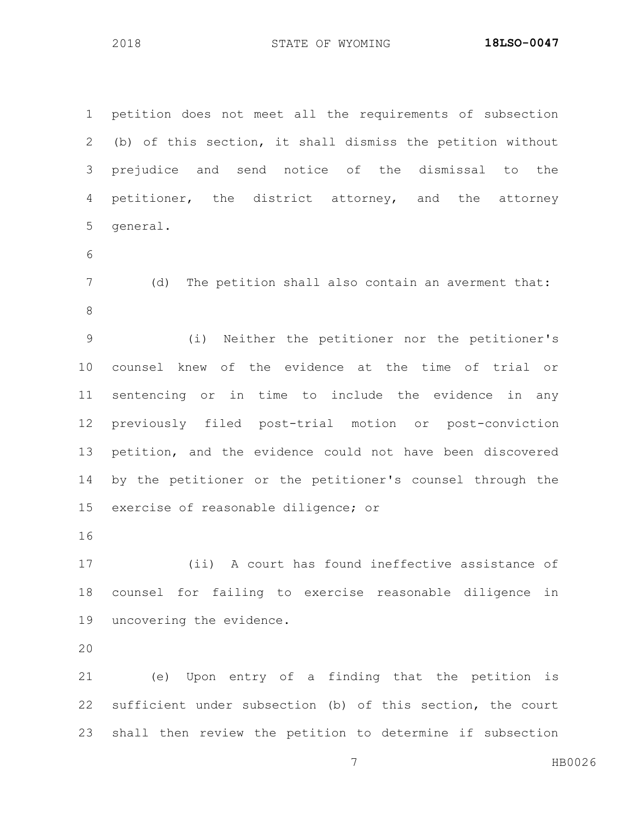petition does not meet all the requirements of subsection (b) of this section, it shall dismiss the petition without prejudice and send notice of the dismissal to the petitioner, the district attorney, and the attorney general.

 (d) The petition shall also contain an averment that: 

 (i) Neither the petitioner nor the petitioner's counsel knew of the evidence at the time of trial or sentencing or in time to include the evidence in any previously filed post-trial motion or post-conviction petition, and the evidence could not have been discovered by the petitioner or the petitioner's counsel through the exercise of reasonable diligence; or

 (ii) A court has found ineffective assistance of counsel for failing to exercise reasonable diligence in uncovering the evidence.

 (e) Upon entry of a finding that the petition is sufficient under subsection (b) of this section, the court shall then review the petition to determine if subsection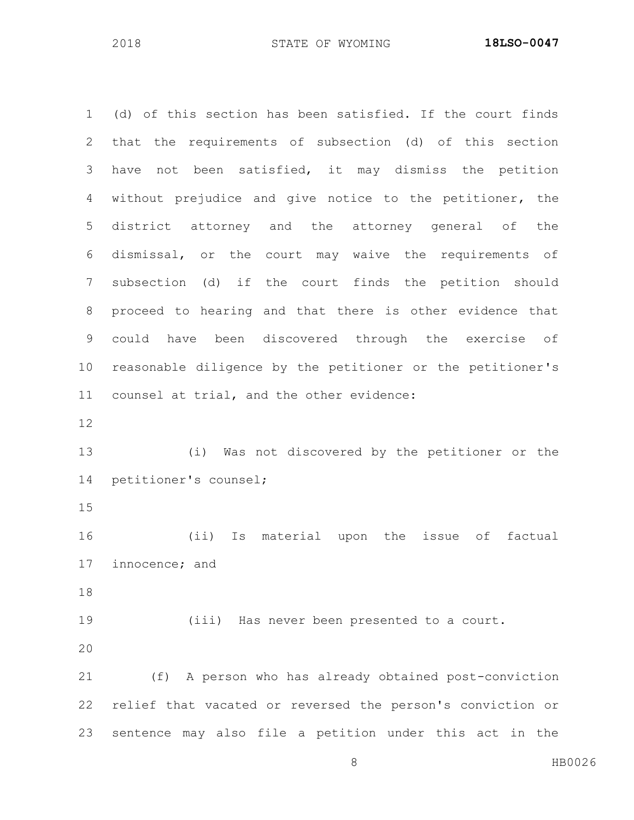8 HB0026 (d) of this section has been satisfied. If the court finds that the requirements of subsection (d) of this section have not been satisfied, it may dismiss the petition without prejudice and give notice to the petitioner, the district attorney and the attorney general of the dismissal, or the court may waive the requirements of subsection (d) if the court finds the petition should proceed to hearing and that there is other evidence that could have been discovered through the exercise of reasonable diligence by the petitioner or the petitioner's counsel at trial, and the other evidence: (i) Was not discovered by the petitioner or the petitioner's counsel; (ii) Is material upon the issue of factual innocence; and (iii) Has never been presented to a court. (f) A person who has already obtained post-conviction relief that vacated or reversed the person's conviction or sentence may also file a petition under this act in the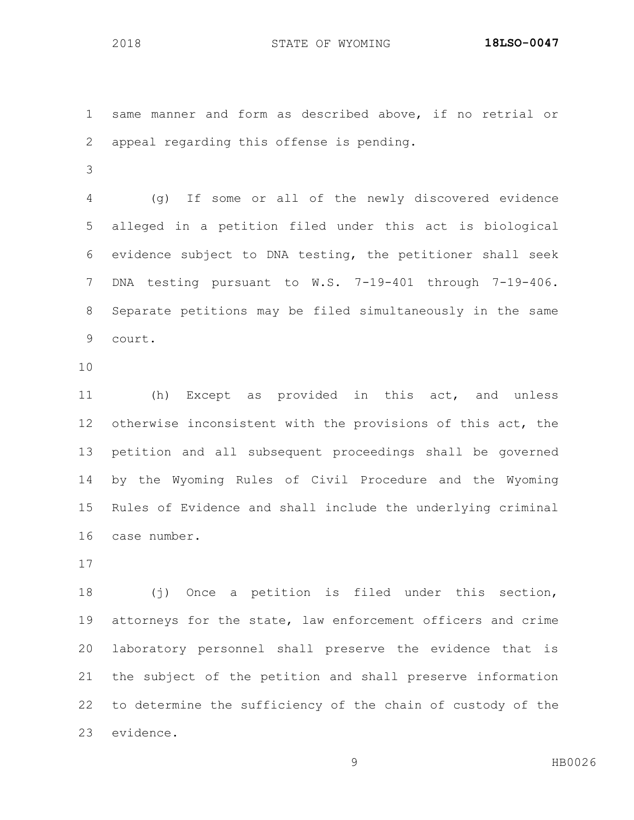same manner and form as described above, if no retrial or appeal regarding this offense is pending.

 (g) If some or all of the newly discovered evidence alleged in a petition filed under this act is biological evidence subject to DNA testing, the petitioner shall seek DNA testing pursuant to W.S. 7-19-401 through 7-19-406. Separate petitions may be filed simultaneously in the same court.

 (h) Except as provided in this act, and unless otherwise inconsistent with the provisions of this act, the petition and all subsequent proceedings shall be governed by the Wyoming Rules of Civil Procedure and the Wyoming Rules of Evidence and shall include the underlying criminal case number.

 (j) Once a petition is filed under this section, attorneys for the state, law enforcement officers and crime laboratory personnel shall preserve the evidence that is the subject of the petition and shall preserve information to determine the sufficiency of the chain of custody of the evidence.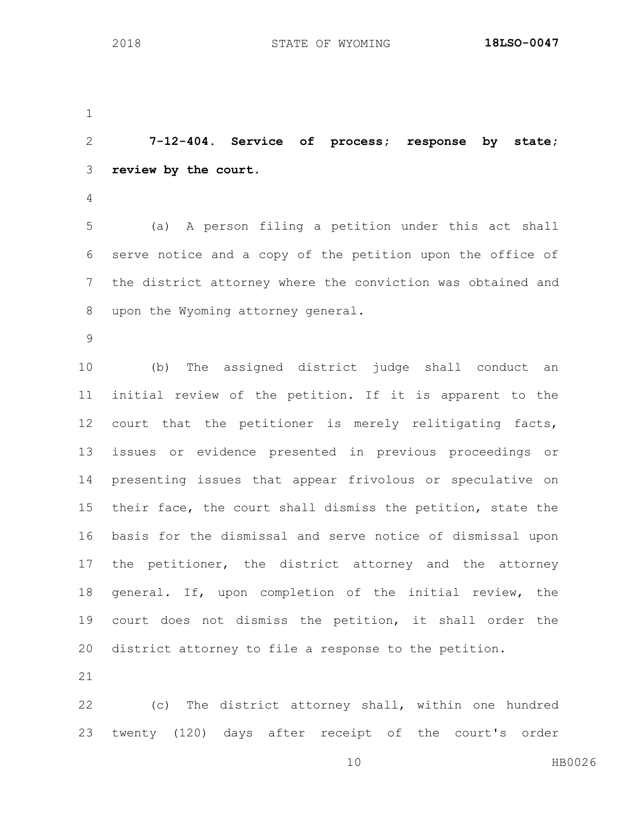**7-12-404. Service of process; response by state; review by the court.**

 (a) A person filing a petition under this act shall serve notice and a copy of the petition upon the office of the district attorney where the conviction was obtained and upon the Wyoming attorney general.

 (b) The assigned district judge shall conduct an initial review of the petition. If it is apparent to the court that the petitioner is merely relitigating facts, issues or evidence presented in previous proceedings or presenting issues that appear frivolous or speculative on their face, the court shall dismiss the petition, state the basis for the dismissal and serve notice of dismissal upon the petitioner, the district attorney and the attorney general. If, upon completion of the initial review, the court does not dismiss the petition, it shall order the district attorney to file a response to the petition.

 (c) The district attorney shall, within one hundred twenty (120) days after receipt of the court's order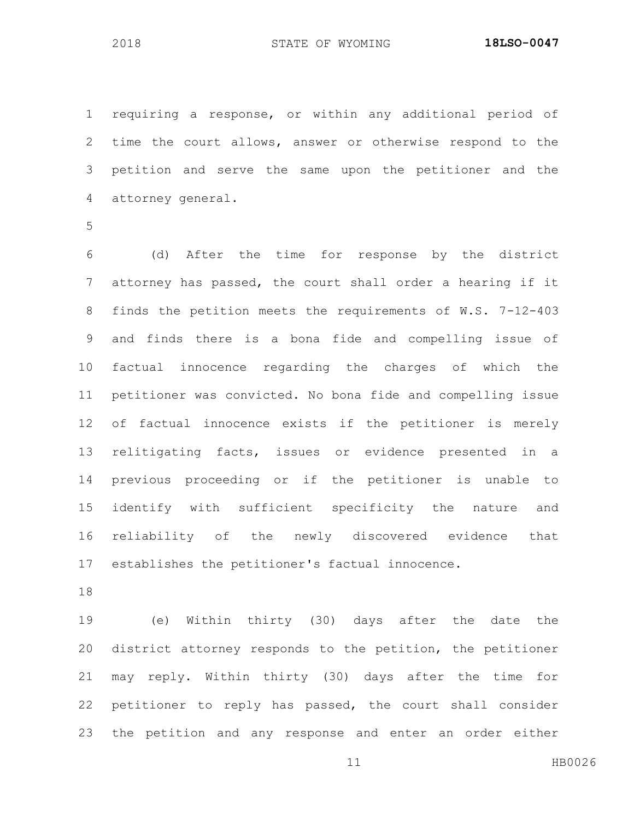requiring a response, or within any additional period of time the court allows, answer or otherwise respond to the petition and serve the same upon the petitioner and the attorney general.

 (d) After the time for response by the district attorney has passed, the court shall order a hearing if it finds the petition meets the requirements of W.S. 7-12-403 and finds there is a bona fide and compelling issue of factual innocence regarding the charges of which the petitioner was convicted. No bona fide and compelling issue of factual innocence exists if the petitioner is merely relitigating facts, issues or evidence presented in a previous proceeding or if the petitioner is unable to identify with sufficient specificity the nature and reliability of the newly discovered evidence that establishes the petitioner's factual innocence.

 (e) Within thirty (30) days after the date the district attorney responds to the petition, the petitioner may reply. Within thirty (30) days after the time for petitioner to reply has passed, the court shall consider the petition and any response and enter an order either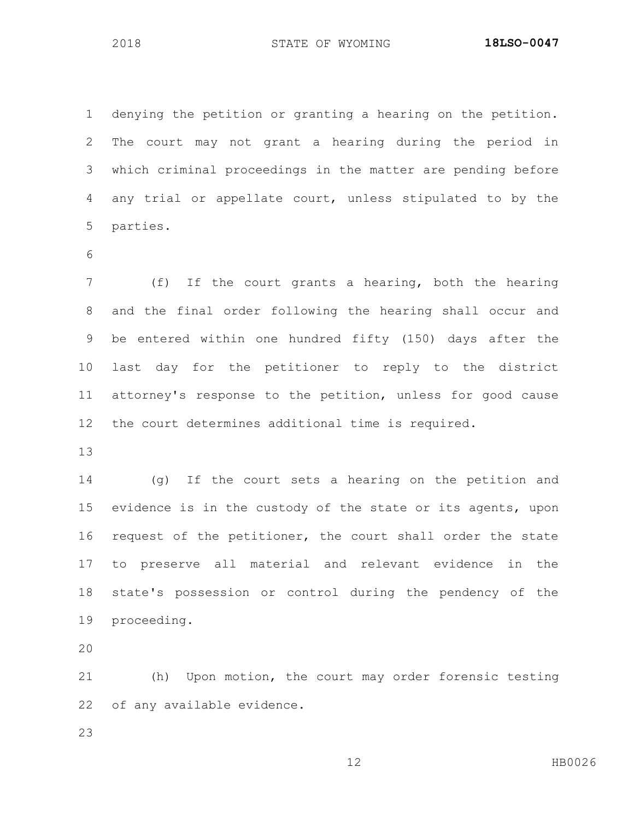denying the petition or granting a hearing on the petition. The court may not grant a hearing during the period in which criminal proceedings in the matter are pending before any trial or appellate court, unless stipulated to by the parties.

 (f) If the court grants a hearing, both the hearing and the final order following the hearing shall occur and be entered within one hundred fifty (150) days after the last day for the petitioner to reply to the district attorney's response to the petition, unless for good cause the court determines additional time is required.

 (g) If the court sets a hearing on the petition and evidence is in the custody of the state or its agents, upon request of the petitioner, the court shall order the state to preserve all material and relevant evidence in the state's possession or control during the pendency of the proceeding.

 (h) Upon motion, the court may order forensic testing of any available evidence.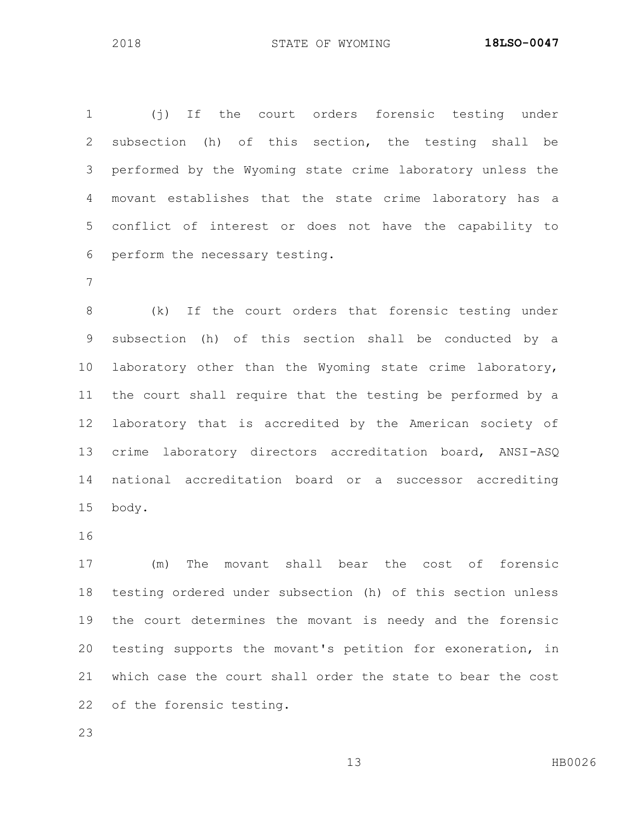(j) If the court orders forensic testing under subsection (h) of this section, the testing shall be performed by the Wyoming state crime laboratory unless the movant establishes that the state crime laboratory has a conflict of interest or does not have the capability to perform the necessary testing.

 (k) If the court orders that forensic testing under subsection (h) of this section shall be conducted by a laboratory other than the Wyoming state crime laboratory, the court shall require that the testing be performed by a laboratory that is accredited by the American society of crime laboratory directors accreditation board, ANSI-ASQ national accreditation board or a successor accrediting body.

 (m) The movant shall bear the cost of forensic testing ordered under subsection (h) of this section unless the court determines the movant is needy and the forensic testing supports the movant's petition for exoneration, in which case the court shall order the state to bear the cost of the forensic testing.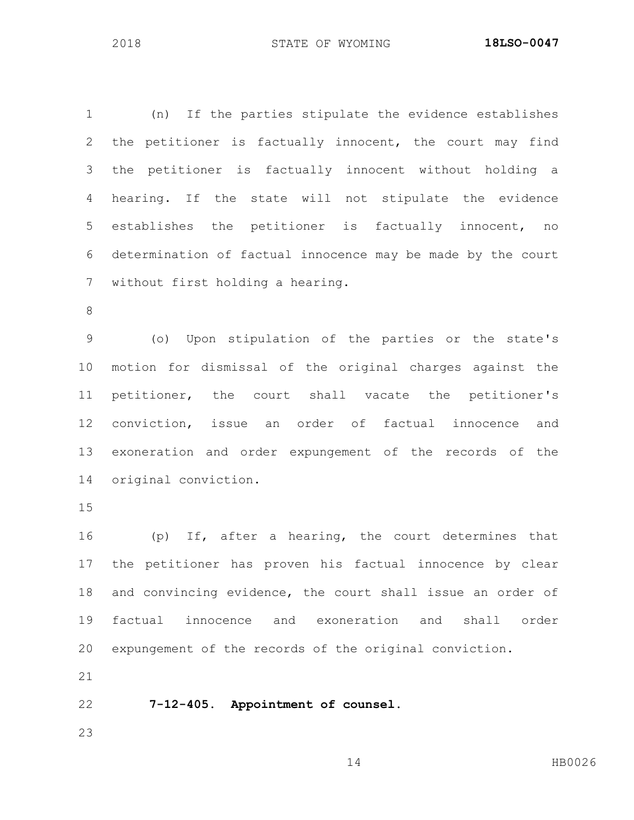(n) If the parties stipulate the evidence establishes the petitioner is factually innocent, the court may find the petitioner is factually innocent without holding a hearing. If the state will not stipulate the evidence establishes the petitioner is factually innocent, no determination of factual innocence may be made by the court without first holding a hearing.

 (o) Upon stipulation of the parties or the state's motion for dismissal of the original charges against the petitioner, the court shall vacate the petitioner's conviction, issue an order of factual innocence and exoneration and order expungement of the records of the original conviction.

 (p) If, after a hearing, the court determines that the petitioner has proven his factual innocence by clear and convincing evidence, the court shall issue an order of factual innocence and exoneration and shall order expungement of the records of the original conviction.

**7-12-405. Appointment of counsel.**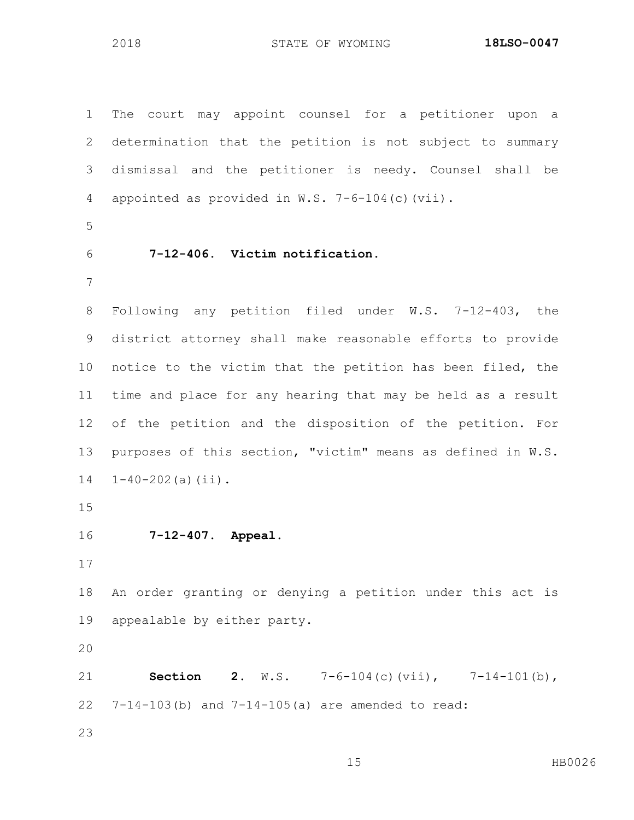The court may appoint counsel for a petitioner upon a determination that the petition is not subject to summary dismissal and the petitioner is needy. Counsel shall be appointed as provided in W.S. 7-6-104(c)(vii). **7-12-406. Victim notification.** Following any petition filed under W.S. 7-12-403, the district attorney shall make reasonable efforts to provide notice to the victim that the petition has been filed, the time and place for any hearing that may be held as a result of the petition and the disposition of the petition. For purposes of this section, "victim" means as defined in W.S.  $1-40-202$  (a) (ii). **7-12-407. Appeal.** An order granting or denying a petition under this act is appealable by either party. **Section 2.** W.S. 7-6-104(c)(vii), 7-14-101(b), 7-14-103(b) and 7-14-105(a) are amended to read: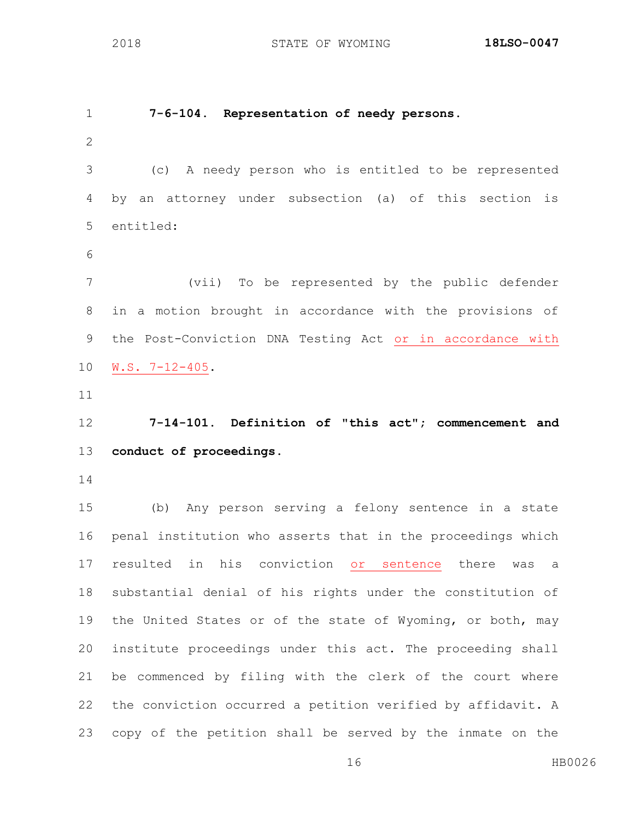**7-6-104. Representation of needy persons.** (c) A needy person who is entitled to be represented by an attorney under subsection (a) of this section is entitled: (vii) To be represented by the public defender in a motion brought in accordance with the provisions of the Post-Conviction DNA Testing Act or in accordance with W.S. 7-12-405. **7-14-101. Definition of "this act"; commencement and conduct of proceedings.** (b) Any person serving a felony sentence in a state penal institution who asserts that in the proceedings which resulted in his conviction or sentence there was a substantial denial of his rights under the constitution of 19 the United States or of the state of Wyoming, or both, may institute proceedings under this act. The proceeding shall be commenced by filing with the clerk of the court where the conviction occurred a petition verified by affidavit. A copy of the petition shall be served by the inmate on the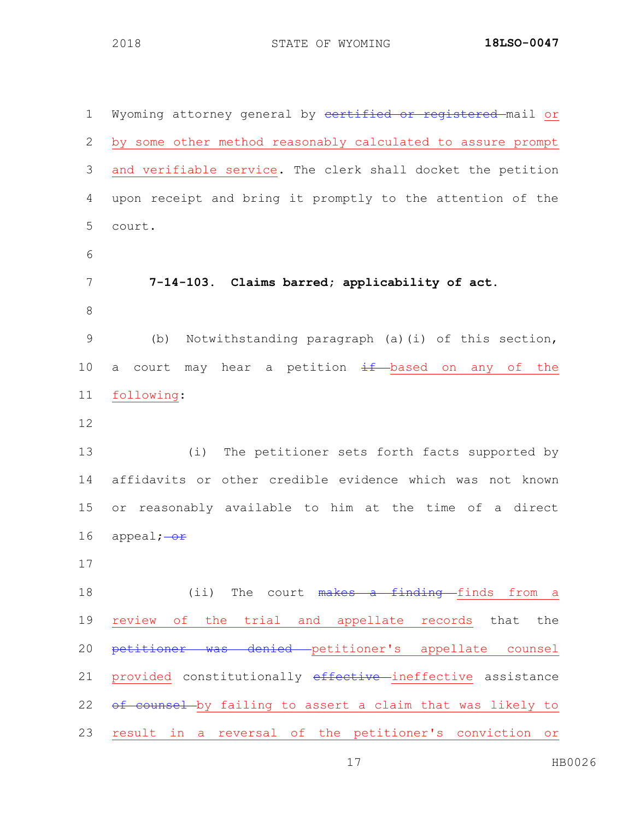| $\mathbf 1$ | Wyoming attorney general by certified or registered mail or      |
|-------------|------------------------------------------------------------------|
| 2           | by some other method reasonably calculated to assure prompt      |
| 3           | and verifiable service. The clerk shall docket the petition      |
| 4           | upon receipt and bring it promptly to the attention of the       |
| 5           | court.                                                           |
| 6           |                                                                  |
| 7           | 7-14-103. Claims barred; applicability of act.                   |
| 8           |                                                                  |
| $\mathsf 9$ | Notwithstanding paragraph (a)(i) of this section,<br>(b)         |
| 10          | court may hear a petition $\frac{1}{2}$ based on any of the<br>a |
| 11          | following:                                                       |
| 12          |                                                                  |
| 13          | (i)<br>The petitioner sets forth facts supported by              |
| 14          | affidavits or other credible evidence which was not known        |
| 15          | or reasonably available to him at the time of a direct           |
| 16          | appeal; $-\text{or}$                                             |
| 17          |                                                                  |
| 18          | (ii) The court makes a finding finds from a                      |
| 19          | review of the trial and appellate records that the               |
| 20          | petitioner was denied petitioner's appellate counsel             |
| 21          | provided constitutionally effective ineffective assistance       |
| 22          | of counsel by failing to assert a claim that was likely to       |
| 23          | result in a reversal of the petitioner's conviction or           |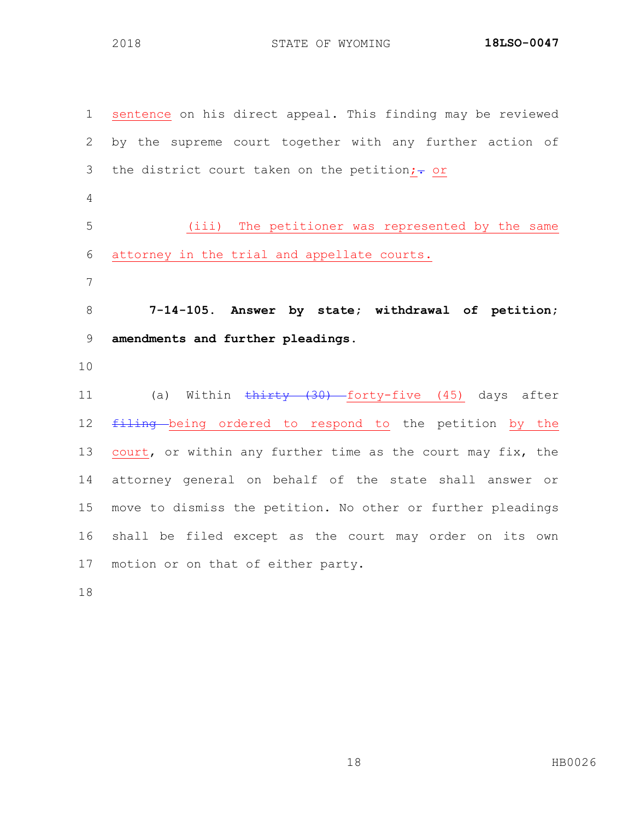sentence on his direct appeal. This finding may be reviewed by the supreme court together with any further action of 3 the district court taken on the petition; $\div$  or (iii) The petitioner was represented by the same attorney in the trial and appellate courts. **7-14-105. Answer by state; withdrawal of petition; amendments and further pleadings.**  11 (a) Within thirty (30) forty-five (45) days after 12 filing being ordered to respond to the petition by the 13 court, or within any further time as the court may fix, the attorney general on behalf of the state shall answer or move to dismiss the petition. No other or further pleadings shall be filed except as the court may order on its own motion or on that of either party.